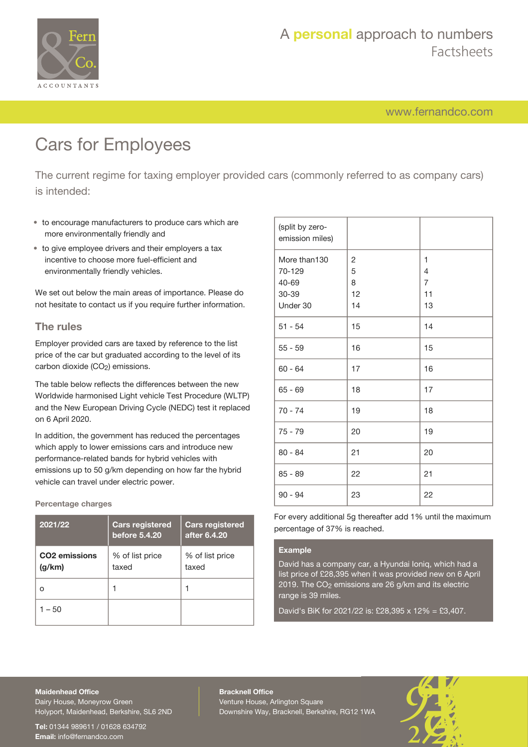

[www.fernandco.com](http://www.fernandco.com)

# Cars for Employees

The current regime for taxing employer provided cars (commonly referred to as company cars) is intended:

- to encourage manufacturers to produce cars which are more environmentally friendly and
- to give employee drivers and their employers a tax incentive to choose more fuel-efficient and environmentally friendly vehicles.

We set out below the main areas of importance. Please do not hesitate to contact us if you require further information.

#### **The rules**

Employer provided cars are taxed by reference to the list price of the car but graduated according to the level of its carbon dioxide (CO<sub>2</sub>) emissions.

The table below reflects the differences between the new Worldwide harmonised Light vehicle Test Procedure (WLTP) and the New European Driving Cycle (NEDC) test it replaced on 6 April 2020.

In addition, the government has reduced the percentages which apply to lower emissions cars and introduce new performance-related bands for hybrid vehicles with emissions up to 50 g/km depending on how far the hybrid vehicle can travel under electric power.

**Percentage charges**

| 2021/22                             | <b>Cars registered</b><br>before 5.4.20 | <b>Cars registered</b><br>after 6.4.20 |
|-------------------------------------|-----------------------------------------|----------------------------------------|
| CO <sub>2</sub> emissions<br>(g/km) | % of list price<br>taxed                | % of list price<br>taxed               |
| Ω                                   |                                         |                                        |
| $-50$                               |                                         |                                        |

| (split by zero-<br>emission miles) |                |                |
|------------------------------------|----------------|----------------|
| More than130                       | $\overline{c}$ | 1              |
| 70-129                             | 5              | 4              |
| 40-69                              | 8              | $\overline{7}$ |
| 30-39                              | 12             | 11             |
| Under 30                           | 14             | 13             |
| $51 - 54$                          | 15             | 14             |
| $55 - 59$                          | 16             | 15             |
| $60 - 64$                          | 17             | 16             |
| $65 - 69$                          | 18             | 17             |
| $70 - 74$                          | 19             | 18             |
| $75 - 79$                          | 20             | 19             |
| $80 - 84$                          | 21             | 20             |
| $85 - 89$                          | 22             | 21             |
| $90 - 94$                          | 23             | 22             |

For every additional 5g thereafter add 1% until the maximum percentage of 37% is reached.

#### **Example**

David has a company car, a Hyundai Ioniq, which had a list price of £28,395 when it was provided new on 6 April 2019. The CO2 emissions are 26 g/km and its electric range is 39 miles.

David's BiK for 2021/22 is: £28,395 x 12% = £3,407.

#### **Maidenhead Office**

Dairy House, Moneyrow Green Holyport, Maidenhead, Berkshire, SL6 2ND

**Tel:** 01344 989611 / 01628 634792 **Email:** [info@fernandco.com](mailto:info@fernandco.com)

**Bracknell Office** Venture House, Arlington Square Downshire Way, Bracknell, Berkshire, RG12 1WA

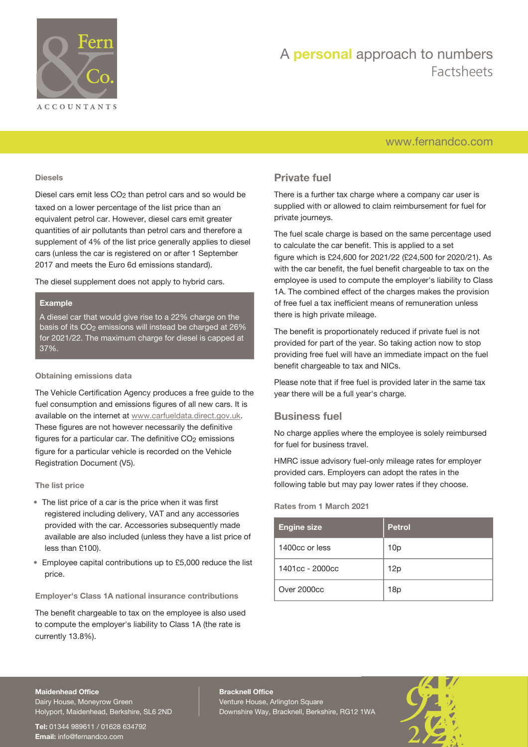

## A **personal** approach to numbers Factsheets

## [www.fernandco.com](http://www.fernandco.com)

#### **Diesels**

Diesel cars emit less CO<sub>2</sub> than petrol cars and so would be taxed on a lower percentage of the list price than an equivalent petrol car. However, diesel cars emit greater quantities of air pollutants than petrol cars and therefore a supplement of 4% of the list price generally applies to diesel cars (unless the car is registered on or after 1 September 2017 and meets the Euro 6d emissions standard).

The diesel supplement does not apply to hybrid cars.

#### **Example**

A diesel car that would give rise to a 22% charge on the basis of its CO<sub>2</sub> emissions will instead be charged at 26% for 2021/22. The maximum charge for diesel is capped at 37%.

#### **Obtaining emissions data**

The Vehicle Certification Agency produces a free guide to the fuel consumption and emissions figures of all new cars. It is available on the internet at [www.carfueldata.direct.gov.uk](http://carfueldata.direct.gov.uk/). These figures are not however necessarily the definitive figures for a particular car. The definitive CO<sub>2</sub> emissions figure for a particular vehicle is recorded on the Vehicle Registration Document (V5).

#### **The list price**

- The list price of a car is the price when it was first registered including delivery, VAT and any accessories provided with the car. Accessories subsequently made available are also included (unless they have a list price of less than £100).
- Employee capital contributions up to £5,000 reduce the list price.

#### **Employer's Class 1A national insurance contributions**

The benefit chargeable to tax on the employee is also used to compute the employer's liability to Class 1A (the rate is currently 13.8%).

### **Private fuel**

There is a further tax charge where a company car user is supplied with or allowed to claim reimbursement for fuel for private journeys.

The fuel scale charge is based on the same percentage used to calculate the car benefit. This is applied to a set figure which is £24,600 for 2021/22 (£24,500 for 2020/21). As with the car benefit, the fuel benefit chargeable to tax on the employee is used to compute the employer's liability to Class 1A. The combined effect of the charges makes the provision of free fuel a tax inefficient means of remuneration unless there is high private mileage.

The benefit is proportionately reduced if private fuel is not provided for part of the year. So taking action now to stop providing free fuel will have an immediate impact on the fuel benefit chargeable to tax and NICs.

Please note that if free fuel is provided later in the same tax year there will be a full year's charge.

#### **Business fuel**

No charge applies where the employee is solely reimbursed for fuel for business travel.

HMRC issue advisory fuel-only mileage rates for employer provided cars. Employers can adopt the rates in the following table but may pay lower rates if they choose.

#### **Rates from 1 March 2021**

| <b>Engine size</b> | <b>Petrol</b>   |
|--------------------|-----------------|
| 1400cc or less     | 10 <sub>p</sub> |
| 1401cc - 2000cc    | 12p             |
| Over 2000cc        | 18p             |

#### **Maidenhead Office**

Dairy House, Moneyrow Green Holyport, Maidenhead, Berkshire, SL6 2ND

**Tel:** 01344 989611 / 01628 634792 **Email:** [info@fernandco.com](mailto:info@fernandco.com)

**Bracknell Office** Venture House, Arlington Square Downshire Way, Bracknell, Berkshire, RG12 1WA